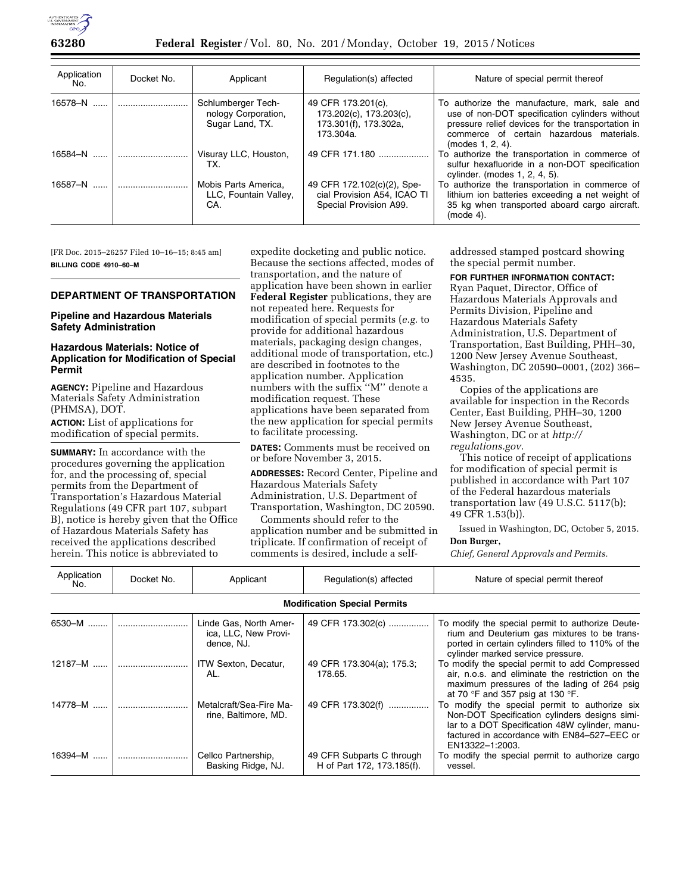

| Application<br>No. | Docket No. | Applicant                                                    | Regulation(s) affected                                                              | Nature of special permit thereof                                                                                                                                                                                    |
|--------------------|------------|--------------------------------------------------------------|-------------------------------------------------------------------------------------|---------------------------------------------------------------------------------------------------------------------------------------------------------------------------------------------------------------------|
| 16578-N            |            | Schlumberger Tech-<br>nology Corporation,<br>Sugar Land, TX. | 49 CFR 173.201(c),<br>173.202(c), 173.203(c),<br>173.301(f), 173.302a,<br>173.304a. | To authorize the manufacture, mark, sale and<br>use of non-DOT specification cylinders without<br>pressure relief devices for the transportation in<br>commerce of certain hazardous materials.<br>(modes 1, 2, 4). |
| 16584-N            |            | Visuray LLC, Houston,<br>TX.                                 | 49 CFR 171.180                                                                      | To authorize the transportation in commerce of<br>sulfur hexafluoride in a non-DOT specification<br>cylinder. (modes 1, 2, 4, 5).                                                                                   |
| 16587-N            |            | Mobis Parts America.<br>LLC, Fountain Valley,<br>CA.         | 49 CFR 172.102(c)(2), Spe-<br>cial Provision A54, ICAO TI<br>Special Provision A99. | To authorize the transportation in commerce of<br>lithium ion batteries exceeding a net weight of<br>35 kg when transported aboard cargo aircraft.<br>(mod 4).                                                      |

[FR Doc. 2015–26257 Filed 10–16–15; 8:45 am] **BILLING CODE 4910–60–M** 

### **DEPARTMENT OF TRANSPORTATION**

## **Pipeline and Hazardous Materials Safety Administration**

## **Hazardous Materials: Notice of Application for Modification of Special Permit**

**AGENCY:** Pipeline and Hazardous Materials Safety Administration (PHMSA), DOT. **ACTION:** List of applications for modification of special permits.

**SUMMARY:** In accordance with the procedures governing the application for, and the processing of, special permits from the Department of Transportation's Hazardous Material Regulations (49 CFR part 107, subpart B), notice is hereby given that the Office of Hazardous Materials Safety has received the applications described herein. This notice is abbreviated to

expedite docketing and public notice. Because the sections affected, modes of transportation, and the nature of application have been shown in earlier **Federal Register** publications, they are not repeated here. Requests for modification of special permits (*e.g.* to provide for additional hazardous materials, packaging design changes, additional mode of transportation, etc.) are described in footnotes to the application number. Application numbers with the suffix ''M'' denote a modification request. These applications have been separated from the new application for special permits to facilitate processing.

**DATES:** Comments must be received on or before November 3, 2015.

**ADDRESSES:** Record Center, Pipeline and Hazardous Materials Safety Administration, U.S. Department of Transportation, Washington, DC 20590.

Comments should refer to the application number and be submitted in triplicate. If confirmation of receipt of comments is desired, include a selfaddressed stamped postcard showing the special permit number.

**FOR FURTHER INFORMATION CONTACT:**  Ryan Paquet, Director, Office of Hazardous Materials Approvals and Permits Division, Pipeline and Hazardous Materials Safety Administration, U.S. Department of Transportation, East Building, PHH–30, 1200 New Jersey Avenue Southeast, Washington, DC 20590–0001, (202) 366– 4535.

Copies of the applications are available for inspection in the Records Center, East Building, PHH–30, 1200 New Jersey Avenue Southeast, Washington, DC or at *[http://](http://regulations.gov) [regulations.gov.](http://regulations.gov)* 

This notice of receipt of applications for modification of special permit is published in accordance with Part 107 of the Federal hazardous materials transportation law (49 U.S.C. 5117(b); 49 CFR 1.53(b)).

Issued in Washington, DC, October 5, 2015. **Don Burger,** 

*Chief, General Approvals and Permits.* 

| Application<br>No.                  | Docket No. | Applicant                                                    | Regulation(s) affected                                  | Nature of special permit thereof                                                                                                                                                                                   |  |  |  |
|-------------------------------------|------------|--------------------------------------------------------------|---------------------------------------------------------|--------------------------------------------------------------------------------------------------------------------------------------------------------------------------------------------------------------------|--|--|--|
| <b>Modification Special Permits</b> |            |                                                              |                                                         |                                                                                                                                                                                                                    |  |  |  |
| 6530-M                              |            | Linde Gas, North Amer-<br>ica, LLC, New Provi-<br>dence, NJ. | 49 CFR 173.302(c)                                       | To modify the special permit to authorize Deute-<br>rium and Deuterium gas mixtures to be trans-<br>ported in certain cylinders filled to 110% of the<br>cylinder marked service pressure.                         |  |  |  |
| $12187 - M$                         |            | ITW Sexton, Decatur,<br>AL.                                  | 49 CFR 173.304(a); 175.3;<br>178.65.                    | To modify the special permit to add Compressed<br>air, n.o.s. and eliminate the restriction on the<br>maximum pressures of the lading of 264 psig<br>at 70 °F and 357 psig at 130 °F.                              |  |  |  |
| $14778 - M$                         |            | Metalcraft/Sea-Fire Ma-<br>rine, Baltimore, MD.              | 49 CFR 173.302(f)                                       | To modify the special permit to authorize six<br>Non-DOT Specification cylinders designs simi-<br>lar to a DOT Specification 48W cylinder, manu-<br>factured in accordance with EN84-527-EEC or<br>EN13322-1:2003. |  |  |  |
| $16394 - M$                         |            | Cellco Partnership,<br>Basking Ridge, NJ.                    | 49 CFR Subparts C through<br>H of Part 172, 173.185(f). | To modify the special permit to authorize cargo<br>vessel.                                                                                                                                                         |  |  |  |